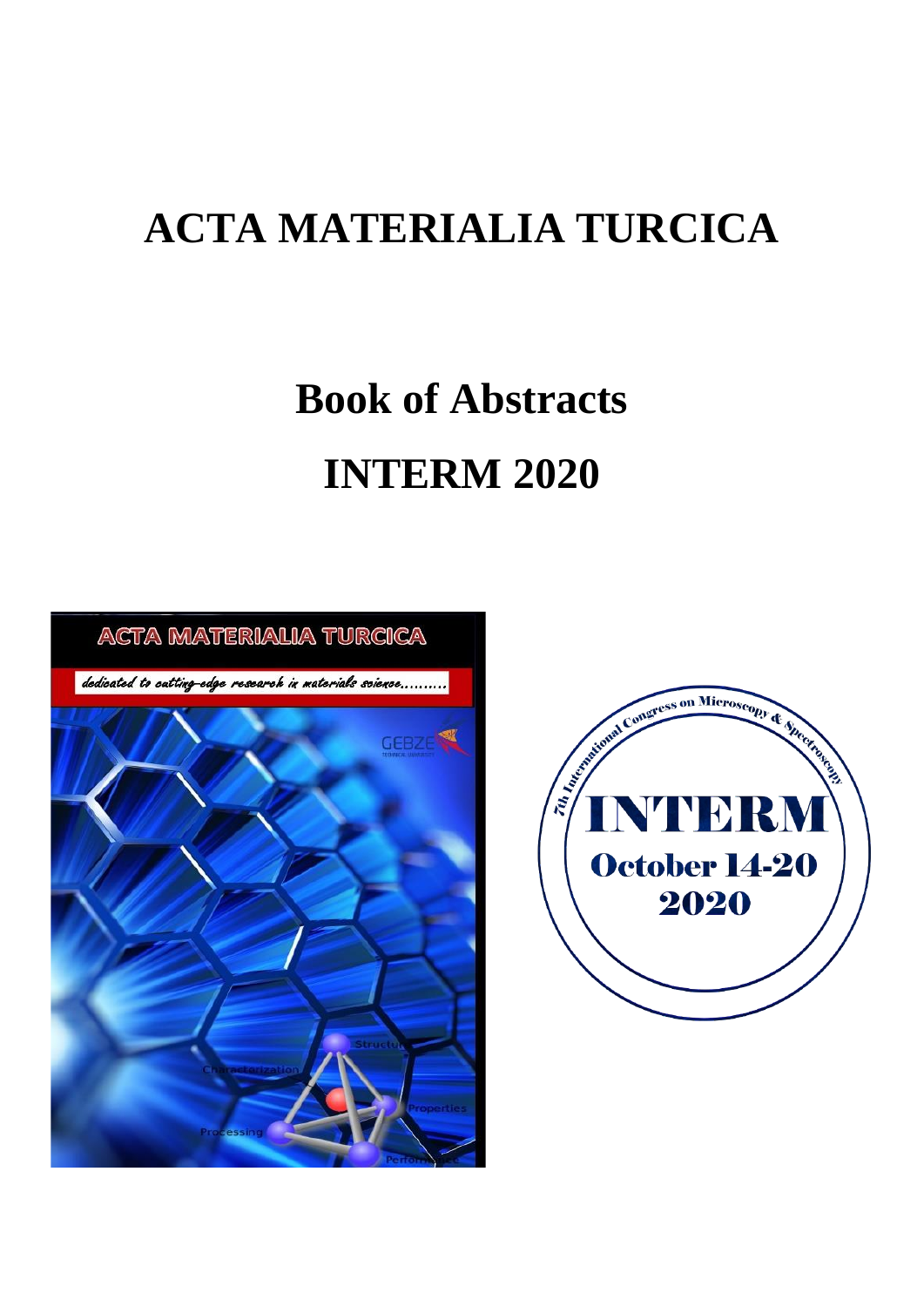# **ACTA MATERIALIA TURCICA**

# **Book of Abstracts INTERM 2020**



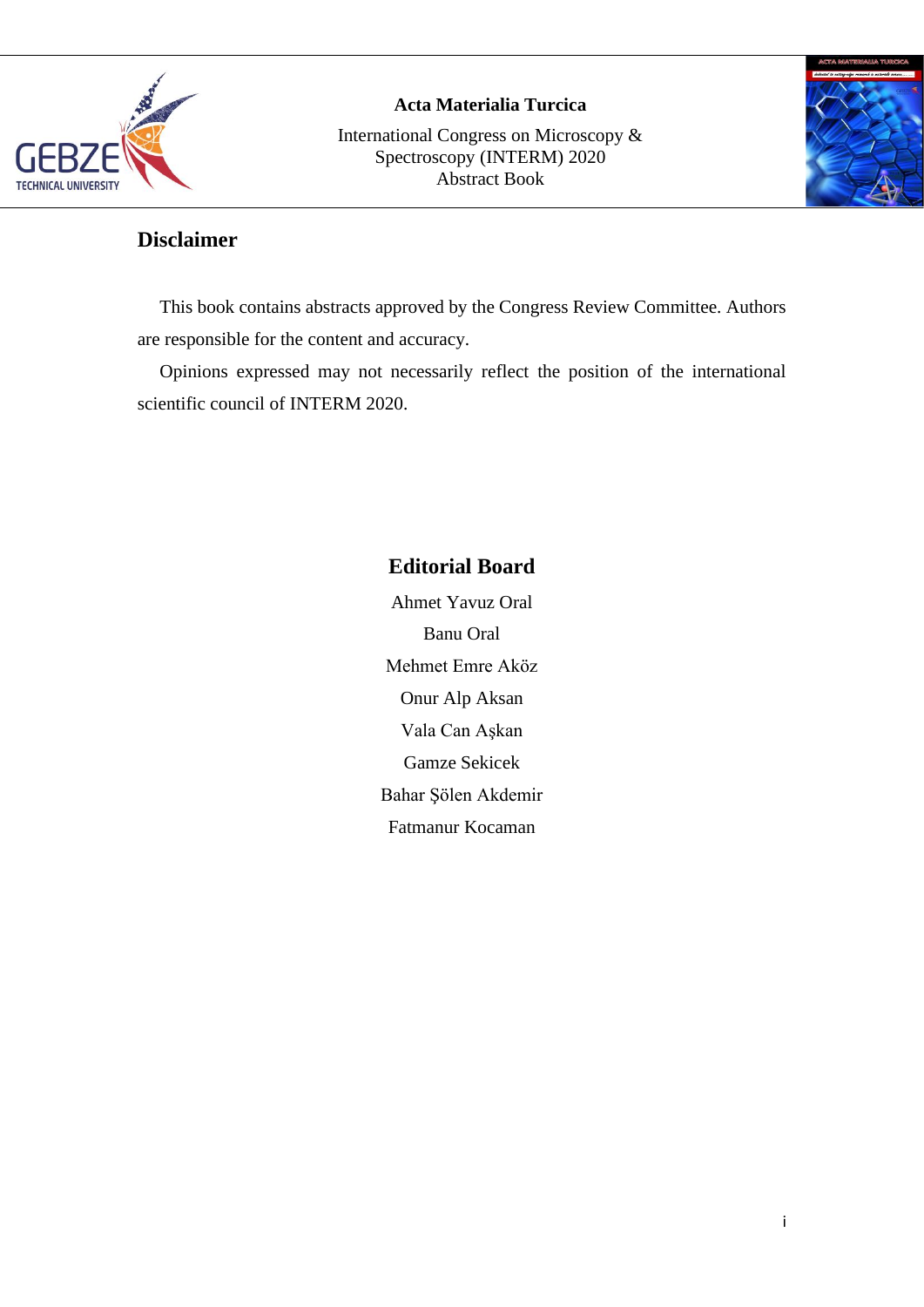

International Congress on Microscopy & Spectroscopy (INTERM) 2020 Abstract Book



## **Disclaimer**

This book contains abstracts approved by the Congress Review Committee. Authors are responsible for the content and accuracy.

Opinions expressed may not necessarily reflect the position of the international scientific council of INTERM 2020.

## **Editorial Board**

Ahmet Yavuz Oral Banu Oral Mehmet Emre Aköz Onur Alp Aksan Vala Can Aşkan Gamze Sekicek Bahar Şölen Akdemir Fatmanur Kocaman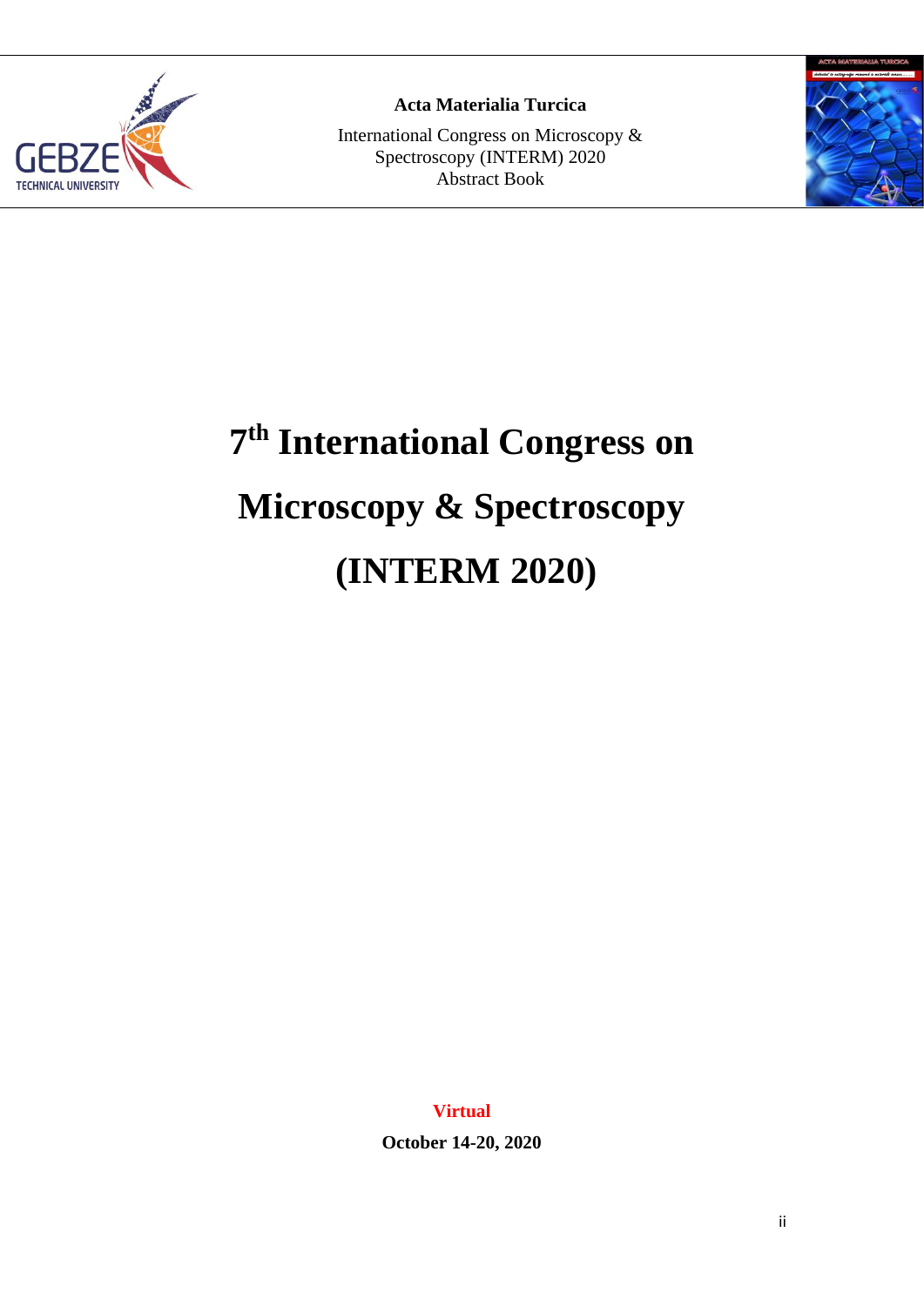

International Congress on Microscopy & Spectroscopy (INTERM) 2020 Abstract Book



# **7 th International Congress on Microscopy & Spectroscopy (INTERM 2020)**

**Virtual October 14-20, 2020**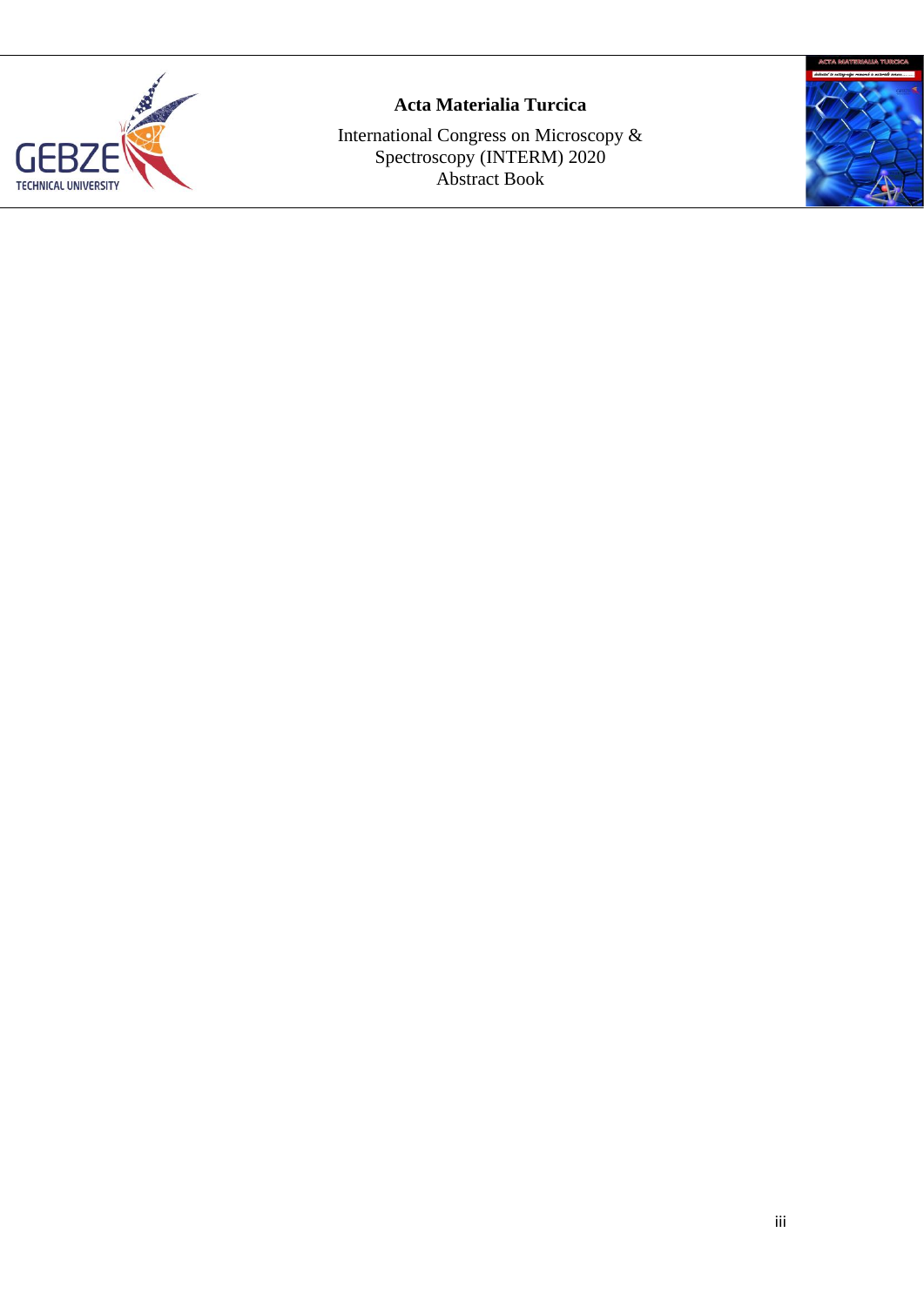

International Congress on Microscopy & Spectroscopy (INTERM) 2020 Abstract Book

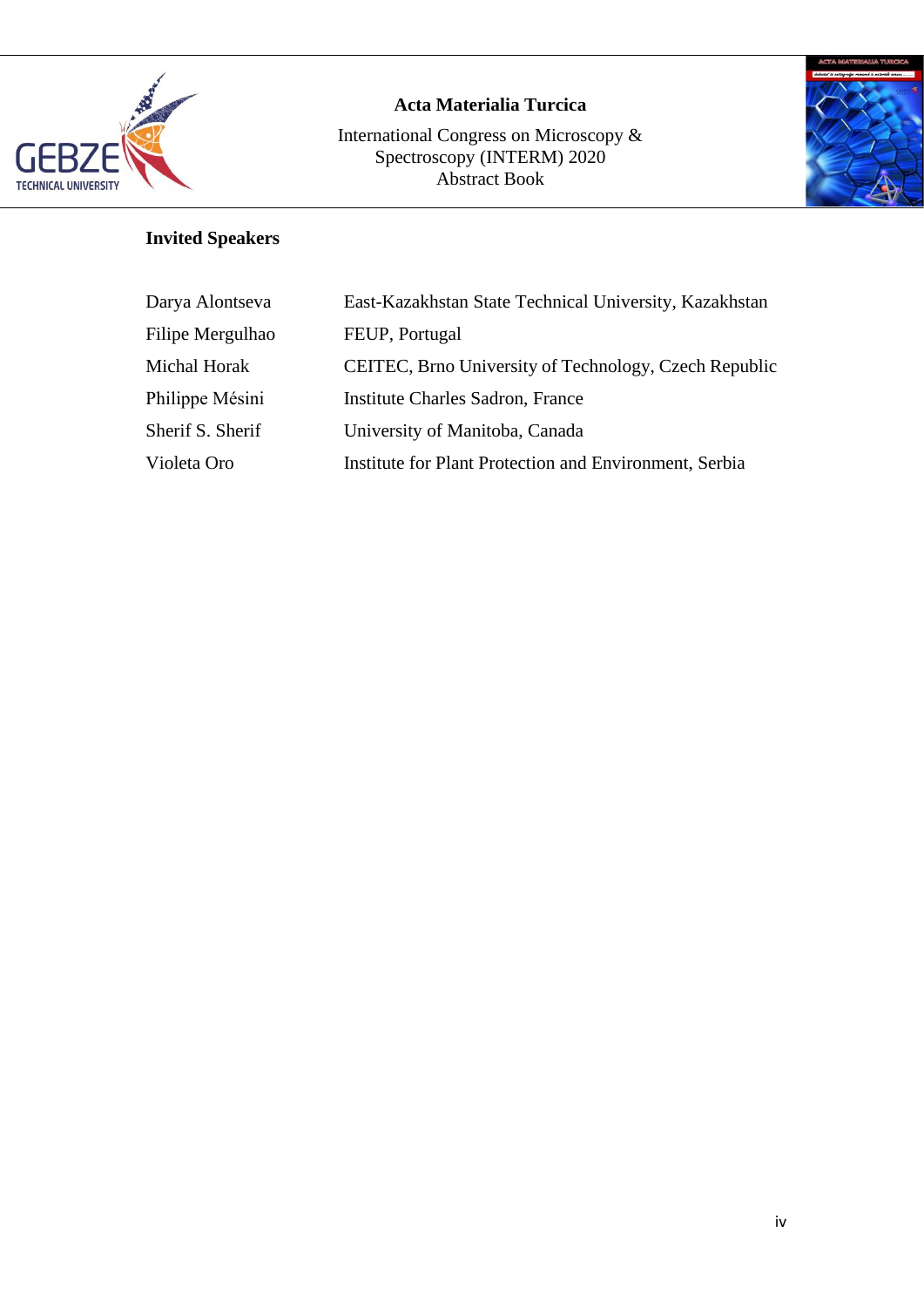

International Congress on Microscopy & Spectroscopy (INTERM) 2020 Abstract Book



## **Invited Speakers**

| Darya Alontseva  | East-Kazakhstan State Technical University, Kazakhstan |
|------------------|--------------------------------------------------------|
| Filipe Mergulhao | FEUP, Portugal                                         |
| Michal Horak     | CEITEC, Brno University of Technology, Czech Republic  |
| Philippe Mésini  | <b>Institute Charles Sadron, France</b>                |
| Sherif S. Sherif | University of Manitoba, Canada                         |
| Violeta Oro      | Institute for Plant Protection and Environment, Serbia |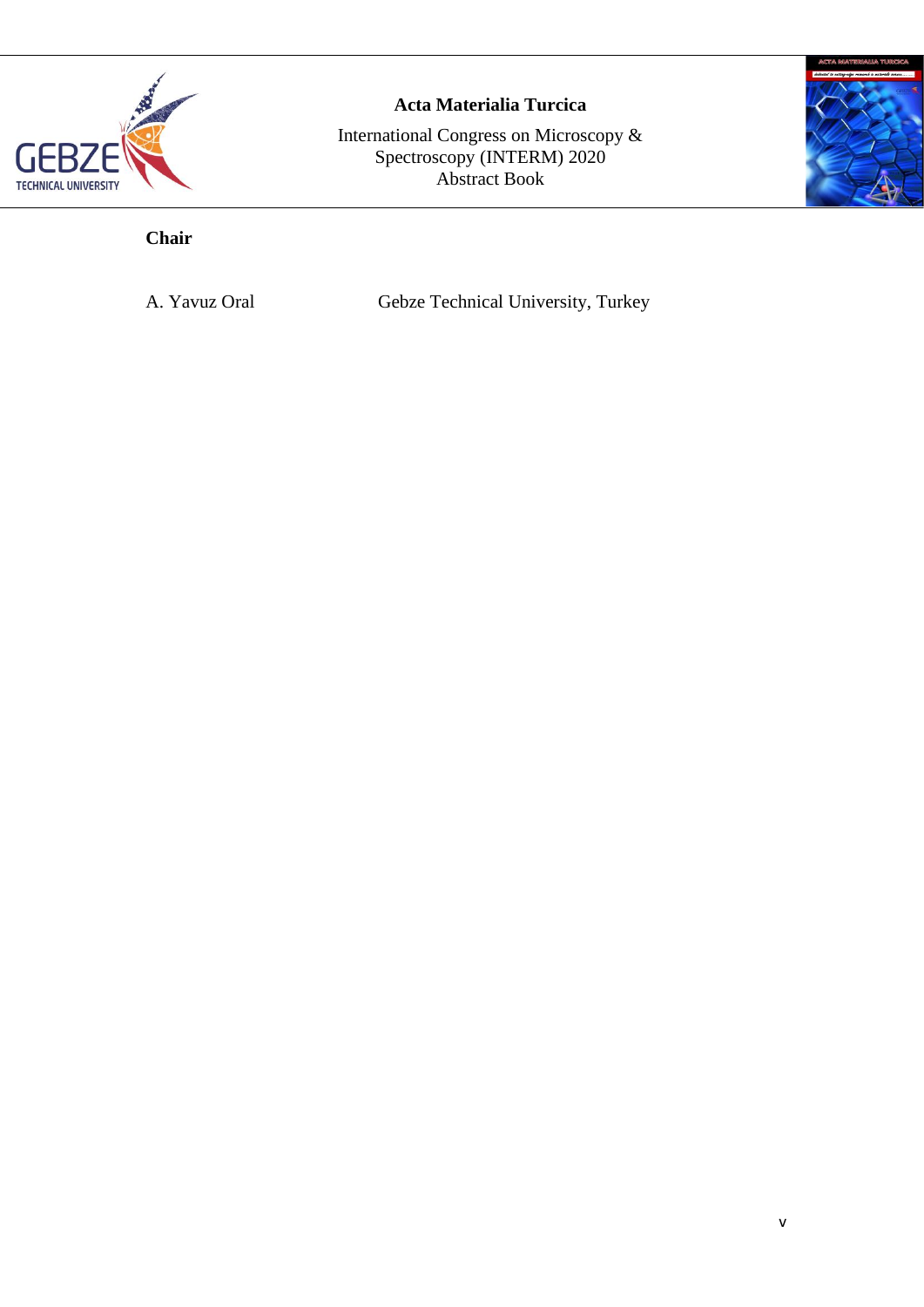

International Congress on Microscopy & Spectroscopy (INTERM) 2020 Abstract Book



### **Chair**

A. Yavuz Oral Gebze Technical University, Turkey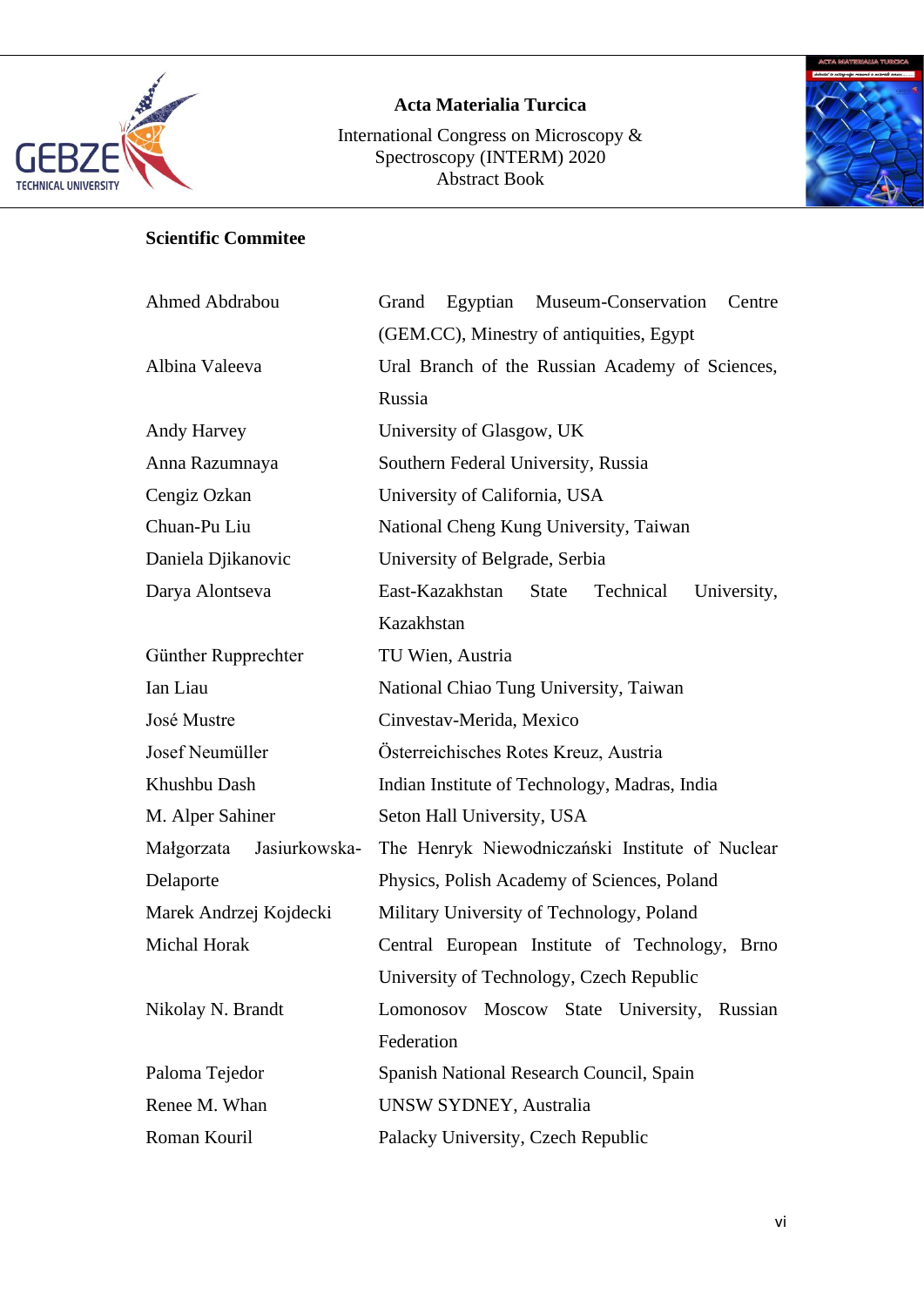

International Congress on Microscopy & Spectroscopy (INTERM) 2020 Abstract Book



#### **Scientific Commitee**

| Ahmed Abdrabou              | Museum-Conservation<br>Egyptian<br>Centre<br>Grand          |  |
|-----------------------------|-------------------------------------------------------------|--|
|                             | (GEM.CC), Minestry of antiquities, Egypt                    |  |
| Albina Valeeva              | Ural Branch of the Russian Academy of Sciences,             |  |
|                             | Russia                                                      |  |
| Andy Harvey                 | University of Glasgow, UK                                   |  |
| Anna Razumnaya              | Southern Federal University, Russia                         |  |
| Cengiz Ozkan                | University of California, USA                               |  |
| Chuan-Pu Liu                | National Cheng Kung University, Taiwan                      |  |
| Daniela Djikanovic          | University of Belgrade, Serbia                              |  |
| Darya Alontseva             | East-Kazakhstan<br>Technical<br>University,<br><b>State</b> |  |
|                             | Kazakhstan                                                  |  |
| Günther Rupprechter         | TU Wien, Austria                                            |  |
| Ian Liau                    | National Chiao Tung University, Taiwan                      |  |
| José Mustre                 | Cinvestav-Merida, Mexico                                    |  |
| Josef Neumüller             | Österreichisches Rotes Kreuz, Austria                       |  |
| Khushbu Dash                | Indian Institute of Technology, Madras, India               |  |
| M. Alper Sahiner            | Seton Hall University, USA                                  |  |
| Małgorzata<br>Jasiurkowska- | The Henryk Niewodniczański Institute of Nuclear             |  |
| Delaporte                   | Physics, Polish Academy of Sciences, Poland                 |  |
| Marek Andrzej Kojdecki      | Military University of Technology, Poland                   |  |
| Michal Horak                | Central European Institute of Technology, Brno              |  |
|                             | University of Technology, Czech Republic                    |  |
| Nikolay N. Brandt           | State University, Russian<br>Lomonosov Moscow               |  |
|                             | Federation                                                  |  |
| Paloma Tejedor              | Spanish National Research Council, Spain                    |  |
| Renee M. Whan               | UNSW SYDNEY, Australia                                      |  |
| Roman Kouril                | Palacky University, Czech Republic                          |  |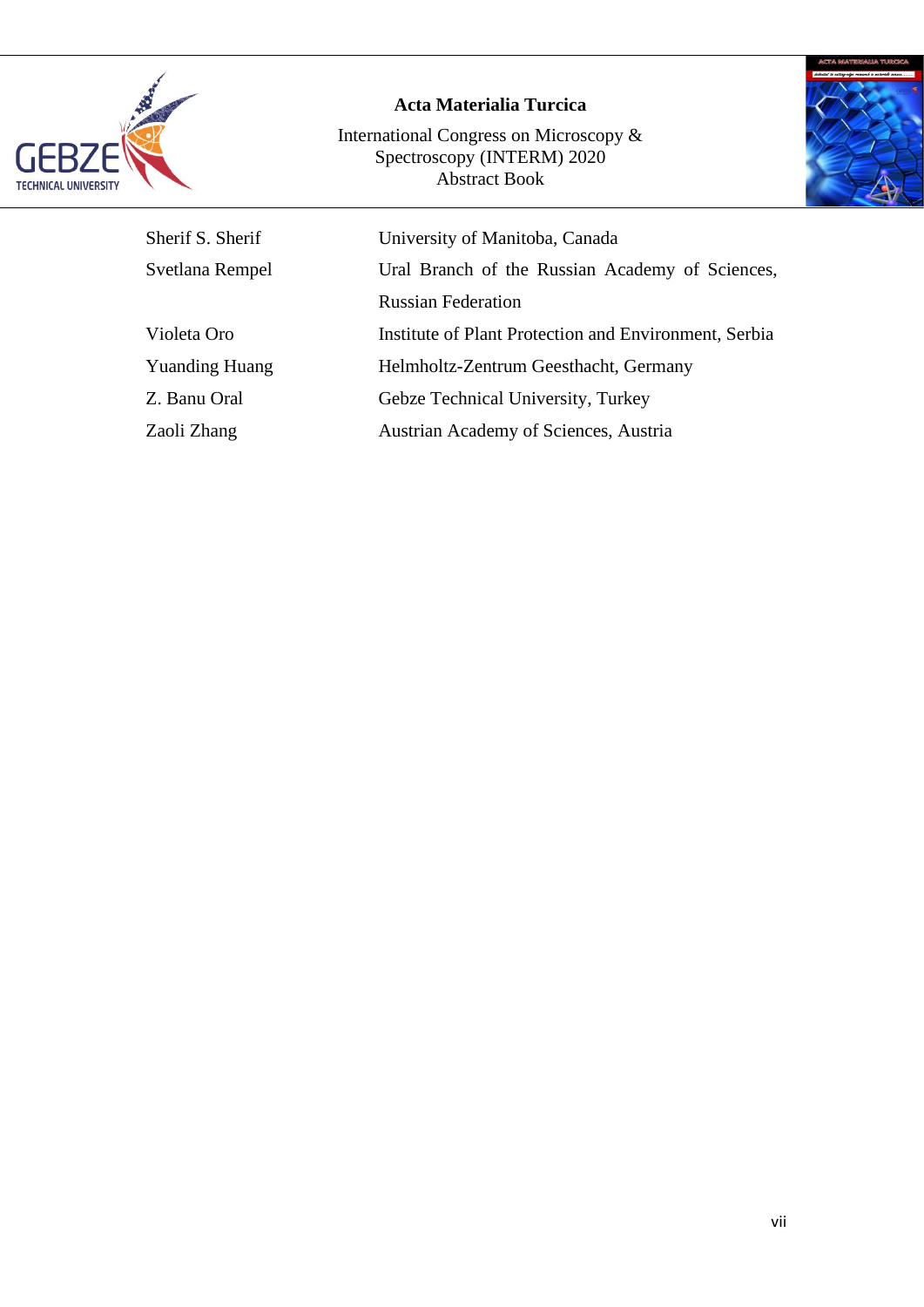

International Congress on Microscopy & Spectroscopy (INTERM) 2020 Abstract Book



| Sherif S. Sherif      | University of Manitoba, Canada                        |  |
|-----------------------|-------------------------------------------------------|--|
| Svetlana Rempel       | Ural Branch of the Russian Academy of Sciences,       |  |
|                       | <b>Russian Federation</b>                             |  |
| Violeta Oro           | Institute of Plant Protection and Environment, Serbia |  |
| <b>Yuanding Huang</b> | Helmholtz-Zentrum Geesthacht, Germany                 |  |
| Z. Banu Oral          | Gebze Technical University, Turkey                    |  |
| Zaoli Zhang           | Austrian Academy of Sciences, Austria                 |  |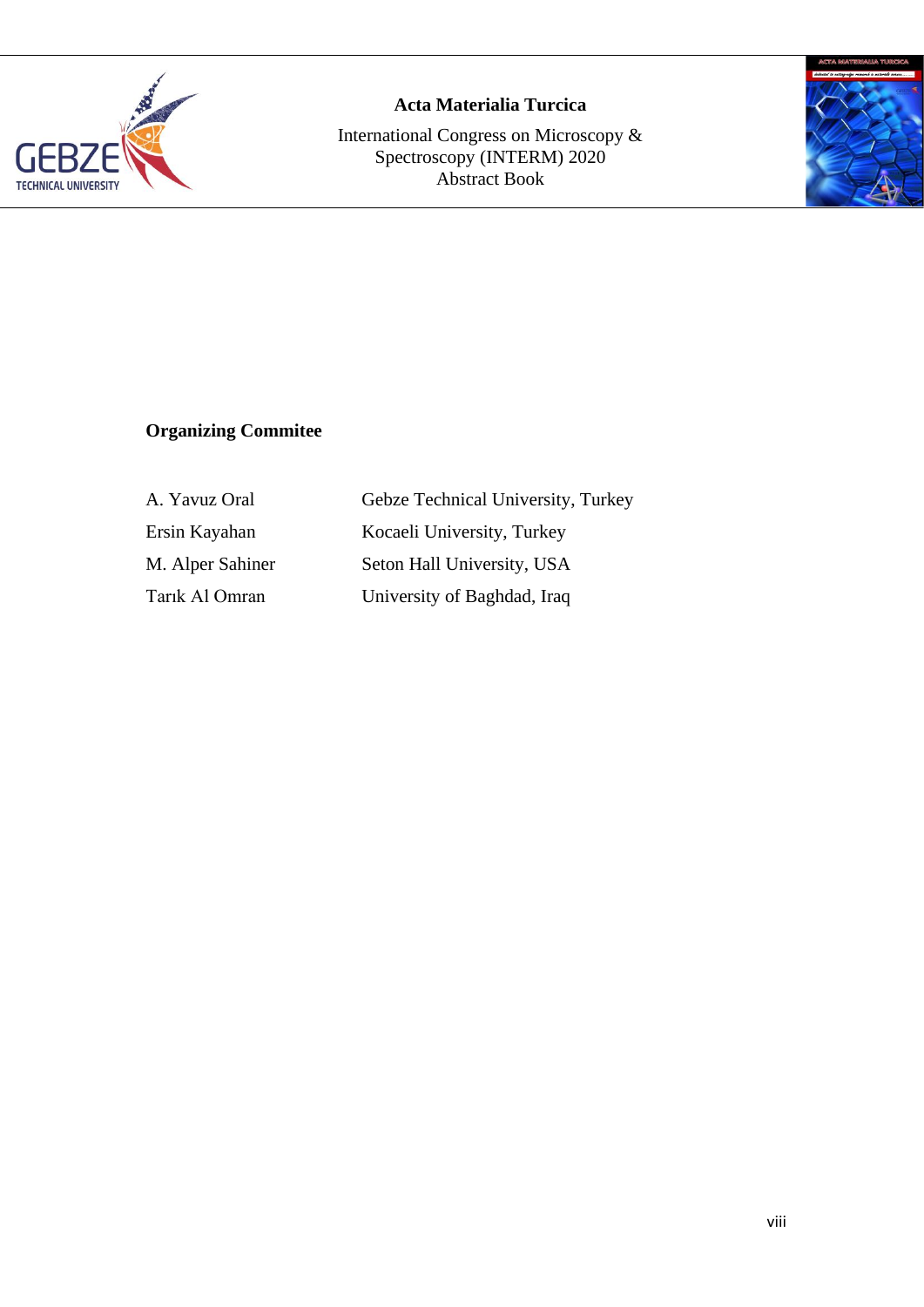

International Congress on Microscopy & Spectroscopy (INTERM) 2020 Abstract Book



## **Organizing Commitee**

| A. Yavuz Oral    |  |  |
|------------------|--|--|
| Ersin Kayahan    |  |  |
| M. Alper Sahiner |  |  |
| Tarik Al Omran   |  |  |

Gebze Technical University, Turkey Kocaeli University, Turkey Seton Hall University, USA University of Baghdad, Iraq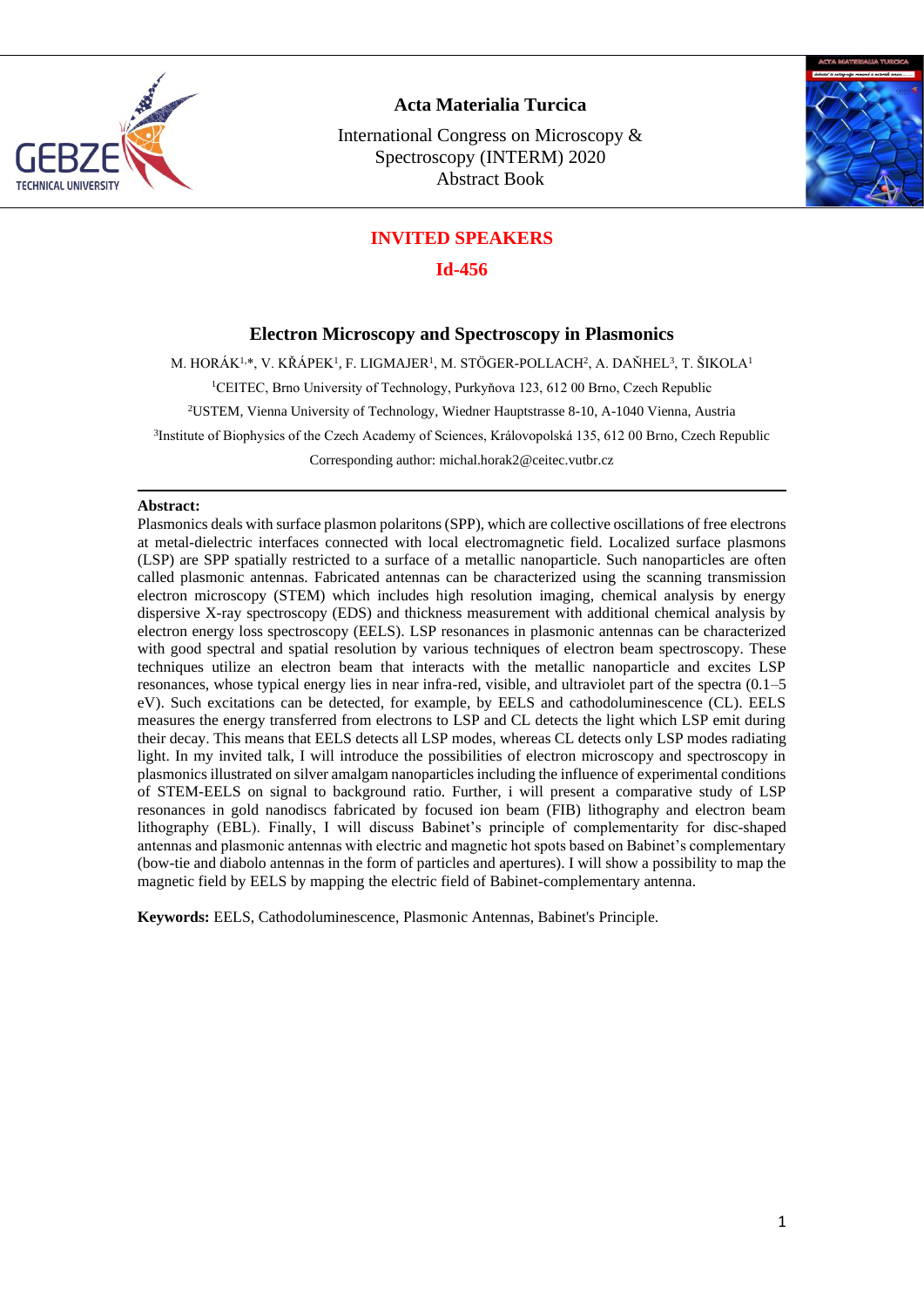

International Congress on Microscopy & Spectroscopy (INTERM) 2020 Abstract Book



#### **INVITED SPEAKERS**

**Id-456**

#### **Electron Microscopy and Spectroscopy in Plasmonics**

M. HORÁK<sup>1,</sup>\*, V. KŘÁPEK<sup>1</sup>, F. LIGMAJER<sup>1</sup>, M. STÖGER-POLLACH<sup>2</sup>, A. DAŇHEL<sup>3</sup>, T. ŠIKOLA<sup>1</sup> <sup>1</sup>CEITEC, Brno University of Technology, Purkyňova 123, 612 00 Brno, Czech Republic <sup>2</sup>USTEM, Vienna University of Technology, Wiedner Hauptstrasse 8-10, A-1040 Vienna, Austria 3 Institute of Biophysics of the Czech Academy of Sciences, Královopolská 135, 612 00 Brno, Czech Republic Corresponding author: michal.horak2@ceitec.vutbr.cz

#### **Abstract:**

Plasmonics deals with surface plasmon polaritons (SPP), which are collective oscillations of free electrons at metal-dielectric interfaces connected with local electromagnetic field. Localized surface plasmons (LSP) are SPP spatially restricted to a surface of a metallic nanoparticle. Such nanoparticles are often called plasmonic antennas. Fabricated antennas can be characterized using the scanning transmission electron microscopy (STEM) which includes high resolution imaging, chemical analysis by energy dispersive X-ray spectroscopy (EDS) and thickness measurement with additional chemical analysis by electron energy loss spectroscopy (EELS). LSP resonances in plasmonic antennas can be characterized with good spectral and spatial resolution by various techniques of electron beam spectroscopy. These techniques utilize an electron beam that interacts with the metallic nanoparticle and excites LSP resonances, whose typical energy lies in near infra-red, visible, and ultraviolet part of the spectra (0.1–5 eV). Such excitations can be detected, for example, by EELS and cathodoluminescence (CL). EELS measures the energy transferred from electrons to LSP and CL detects the light which LSP emit during their decay. This means that EELS detects all LSP modes, whereas CL detects only LSP modes radiating light. In my invited talk, I will introduce the possibilities of electron microscopy and spectroscopy in plasmonics illustrated on silver amalgam nanoparticles including the influence of experimental conditions of STEM-EELS on signal to background ratio. Further, i will present a comparative study of LSP resonances in gold nanodiscs fabricated by focused ion beam (FIB) lithography and electron beam lithography (EBL). Finally, I will discuss Babinet's principle of complementarity for disc-shaped antennas and plasmonic antennas with electric and magnetic hot spots based on Babinet's complementary (bow-tie and diabolo antennas in the form of particles and apertures). I will show a possibility to map the magnetic field by EELS by mapping the electric field of Babinet-complementary antenna.

**Keywords:** EELS, Cathodoluminescence, Plasmonic Antennas, Babinet's Principle.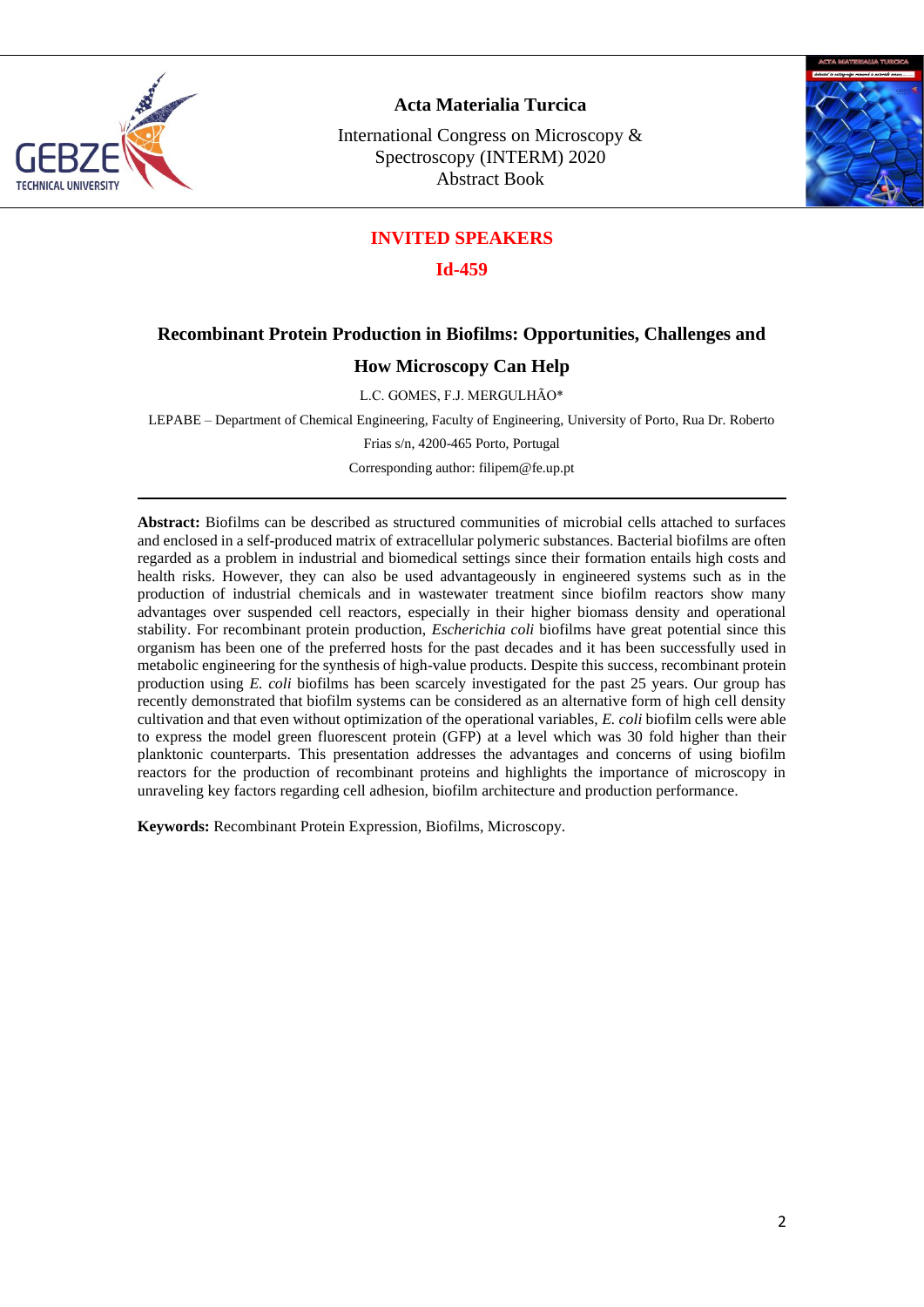

International Congress on Microscopy & Spectroscopy (INTERM) 2020 Abstract Book



#### **INVITED SPEAKERS**

**Id-459**

#### **Recombinant Protein Production in Biofilms: Opportunities, Challenges and**

#### **How Microscopy Can Help**

L.C. GOMES, F.J. MERGULHÃO\*

LEPABE – Department of Chemical Engineering, Faculty of Engineering, University of Porto, Rua Dr. Roberto

Frias s/n, 4200-465 Porto, Portugal

Corresponding author: filipem@fe.up.pt

**Abstract:** Biofilms can be described as structured communities of microbial cells attached to surfaces and enclosed in a self-produced matrix of extracellular polymeric substances. Bacterial biofilms are often regarded as a problem in industrial and biomedical settings since their formation entails high costs and health risks. However, they can also be used advantageously in engineered systems such as in the production of industrial chemicals and in wastewater treatment since biofilm reactors show many advantages over suspended cell reactors, especially in their higher biomass density and operational stability. For recombinant protein production, *Escherichia coli* biofilms have great potential since this organism has been one of the preferred hosts for the past decades and it has been successfully used in metabolic engineering for the synthesis of high-value products. Despite this success, recombinant protein production using *E. coli* biofilms has been scarcely investigated for the past 25 years. Our group has recently demonstrated that biofilm systems can be considered as an alternative form of high cell density cultivation and that even without optimization of the operational variables, *E. coli* biofilm cells were able to express the model green fluorescent protein (GFP) at a level which was 30 fold higher than their planktonic counterparts. This presentation addresses the advantages and concerns of using biofilm reactors for the production of recombinant proteins and highlights the importance of microscopy in unraveling key factors regarding cell adhesion, biofilm architecture and production performance.

**Keywords:** Recombinant Protein Expression, Biofilms, Microscopy.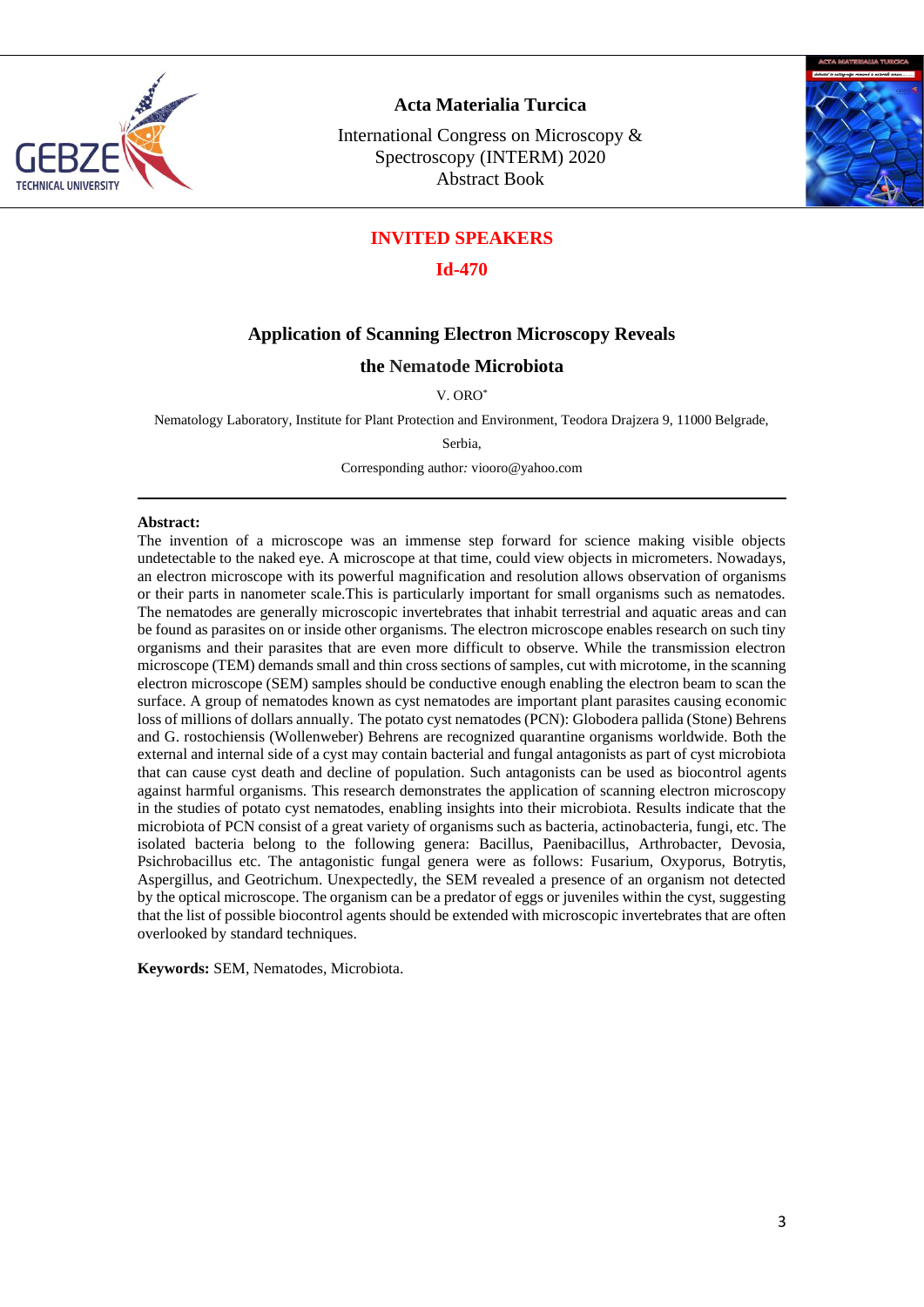

International Congress on Microscopy & Spectroscopy (INTERM) 2020 Abstract Book



#### **INVITED SPEAKERS**

**Id-470**

#### **Application of Scanning Electron Microscopy Reveals**

#### **the Nematode Microbiota**

V. ORO\*

Nematology Laboratory, Institute for Plant Protection and Environment, Teodora Drajzera 9, 11000 Belgrade,

Serbia,

Corresponding author*:* viooro@yahoo.com

#### **Abstract:**

The invention of a microscope was an immense step forward for science making visible objects undetectable to the naked eye. A microscope at that time, could view objects in micrometers. Nowadays, an electron microscope with its powerful magnification and resolution allows observation of organisms or their parts in nanometer scale.This is particularly important for small organisms such as nematodes. The nematodes are generally microscopic invertebrates that inhabit terrestrial and aquatic areas and can be found as parasites on or inside other organisms. The electron microscope enables research on such tiny organisms and their parasites that are even more difficult to observe. While the transmission electron microscope (TEM) demands small and thin cross sections of samples, cut with microtome, in the scanning electron microscope (SEM) samples should be conductive enough enabling the electron beam to scan the surface. A group of nematodes known as cyst nematodes are important plant parasites causing economic loss of millions of dollars annually. The potato cyst nematodes (PCN): Globodera pallida (Stone) Behrens and G. rostochiensis (Wollenweber) Behrens are recognized quarantine organisms worldwide. Both the external and internal side of a cyst may contain bacterial and fungal antagonists as part of cyst microbiota that can cause cyst death and decline of population. Such antagonists can be used as biocontrol agents against harmful organisms. This research demonstrates the application of scanning electron microscopy in the studies of potato cyst nematodes, enabling insights into their microbiota. Results indicate that the microbiota of PCN consist of a great variety of organisms such as bacteria, actinobacteria, fungi, etc. The isolated bacteria belong to the following genera: Bacillus, Paenibacillus, Arthrobacter, Devosia, Psichrobacillus etc. The antagonistic fungal genera were as follows: Fusarium, Oxyporus, Botrytis, Aspergillus, and Geotrichum. Unexpectedly, the SEM revealed a presence of an organism not detected by the optical microscope. The organism can be a predator of eggs or juveniles within the cyst, suggesting that the list of possible biocontrol agents should be extended with microscopic invertebrates that are often overlooked by standard techniques.

**Keywords:** SEM, Nematodes, Microbiota.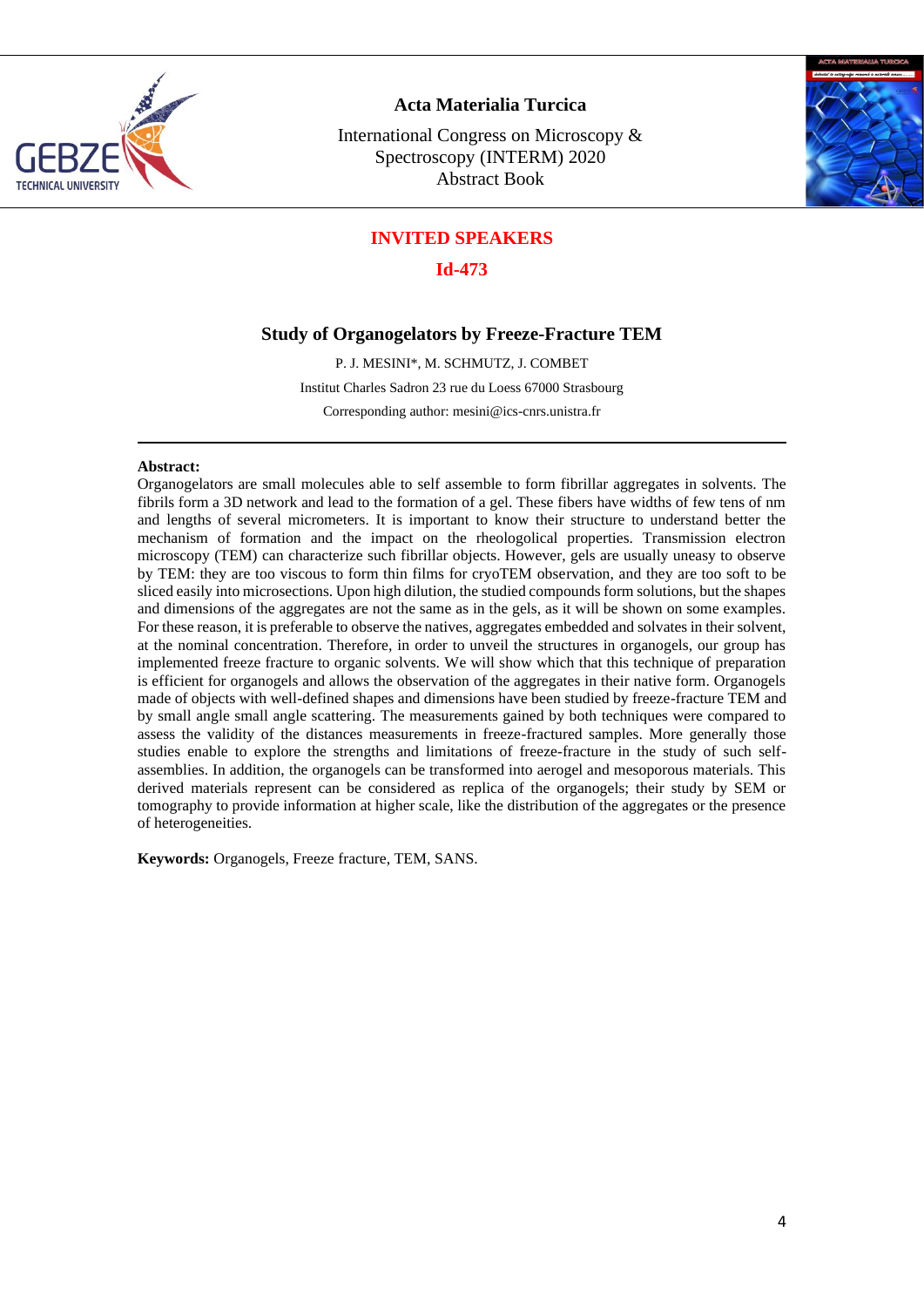

International Congress on Microscopy & Spectroscopy (INTERM) 2020 Abstract Book



#### **INVITED SPEAKERS**

**Id-473**

#### **Study of Organogelators by Freeze-Fracture TEM**

P. J. MESINI\*, M. SCHMUTZ, J. COMBET Institut Charles Sadron 23 rue du Loess 67000 Strasbourg Corresponding author: mesini@ics-cnrs.unistra.fr

#### **Abstract:**

Organogelators are small molecules able to self assemble to form fibrillar aggregates in solvents. The fibrils form a 3D network and lead to the formation of a gel. These fibers have widths of few tens of nm and lengths of several micrometers. It is important to know their structure to understand better the mechanism of formation and the impact on the rheologolical properties. Transmission electron microscopy (TEM) can characterize such fibrillar objects. However, gels are usually uneasy to observe by TEM: they are too viscous to form thin films for cryoTEM observation, and they are too soft to be sliced easily into microsections. Upon high dilution, the studied compounds form solutions, but the shapes and dimensions of the aggregates are not the same as in the gels, as it will be shown on some examples. For these reason, it is preferable to observe the natives, aggregates embedded and solvates in their solvent, at the nominal concentration. Therefore, in order to unveil the structures in organogels, our group has implemented freeze fracture to organic solvents. We will show which that this technique of preparation is efficient for organogels and allows the observation of the aggregates in their native form. Organogels made of objects with well-defined shapes and dimensions have been studied by freeze-fracture TEM and by small angle small angle scattering. The measurements gained by both techniques were compared to assess the validity of the distances measurements in freeze-fractured samples. More generally those studies enable to explore the strengths and limitations of freeze-fracture in the study of such selfassemblies. In addition, the organogels can be transformed into aerogel and mesoporous materials. This derived materials represent can be considered as replica of the organogels; their study by SEM or tomography to provide information at higher scale, like the distribution of the aggregates or the presence of heterogeneities.

**Keywords:** Organogels, Freeze fracture, TEM, SANS.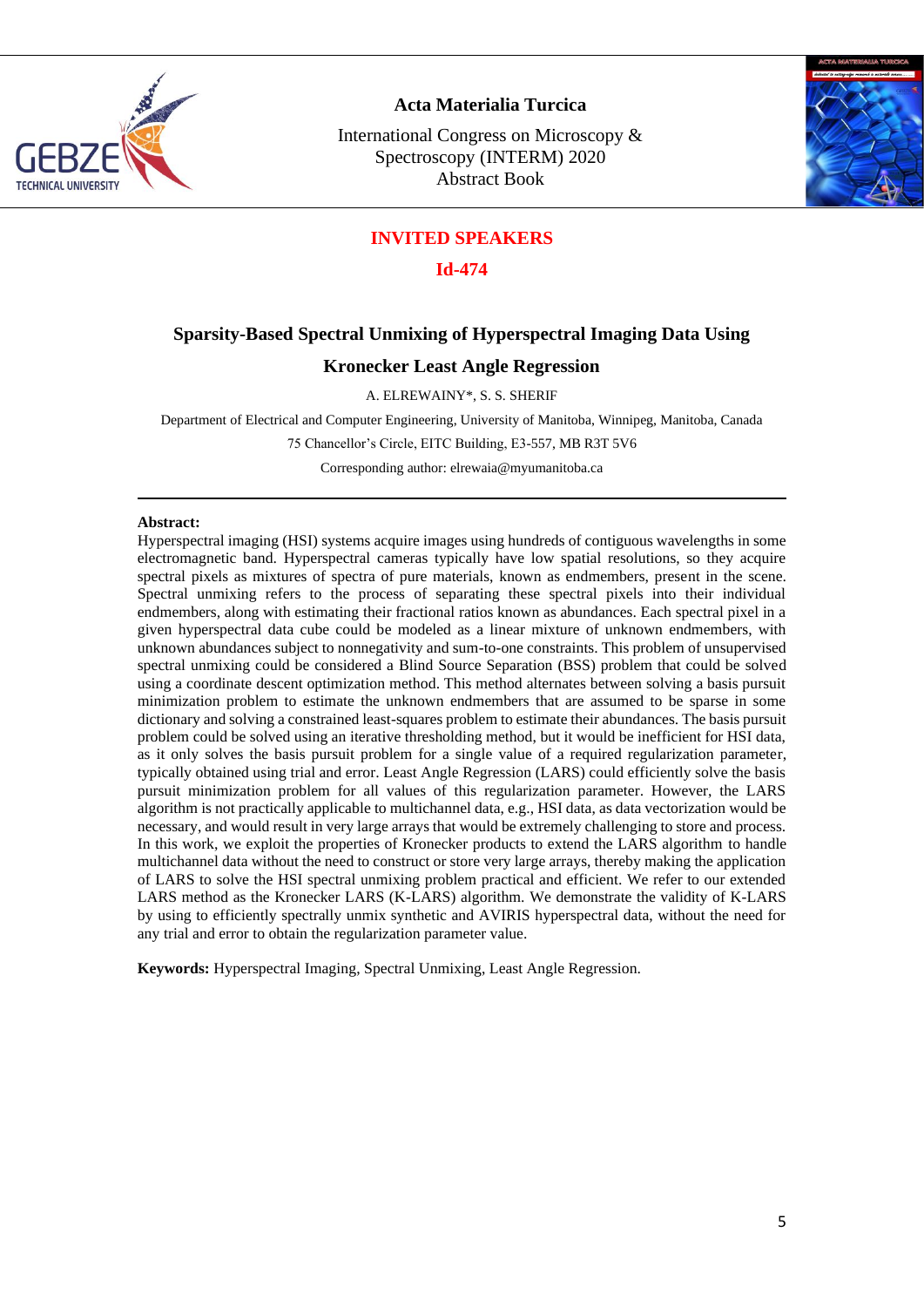

International Congress on Microscopy & Spectroscopy (INTERM) 2020 Abstract Book



#### **INVITED SPEAKERS**

**Id-474**

#### **Sparsity-Based Spectral Unmixing of Hyperspectral Imaging Data Using**

#### **Kronecker Least Angle Regression**

A. ELREWAINY\*, S. S. SHERIF

Department of Electrical and Computer Engineering, University of Manitoba, Winnipeg, Manitoba, Canada

75 Chancellor's Circle, EITC Building, E3-557, MB R3T 5V6

Corresponding author: elrewaia@myumanitoba.ca

#### **Abstract:**

Hyperspectral imaging (HSI) systems acquire images using hundreds of contiguous wavelengths in some electromagnetic band. Hyperspectral cameras typically have low spatial resolutions, so they acquire spectral pixels as mixtures of spectra of pure materials, known as endmembers, present in the scene. Spectral unmixing refers to the process of separating these spectral pixels into their individual endmembers, along with estimating their fractional ratios known as abundances. Each spectral pixel in a given hyperspectral data cube could be modeled as a linear mixture of unknown endmembers, with unknown abundances subject to nonnegativity and sum-to-one constraints. This problem of unsupervised spectral unmixing could be considered a Blind Source Separation (BSS) problem that could be solved using a coordinate descent optimization method. This method alternates between solving a basis pursuit minimization problem to estimate the unknown endmembers that are assumed to be sparse in some dictionary and solving a constrained least-squares problem to estimate their abundances. The basis pursuit problem could be solved using an iterative thresholding method, but it would be inefficient for HSI data, as it only solves the basis pursuit problem for a single value of a required regularization parameter, typically obtained using trial and error. Least Angle Regression (LARS) could efficiently solve the basis pursuit minimization problem for all values of this regularization parameter. However, the LARS algorithm is not practically applicable to multichannel data, e.g., HSI data, as data vectorization would be necessary, and would result in very large arrays that would be extremely challenging to store and process. In this work, we exploit the properties of Kronecker products to extend the LARS algorithm to handle multichannel data without the need to construct or store very large arrays, thereby making the application of LARS to solve the HSI spectral unmixing problem practical and efficient. We refer to our extended LARS method as the Kronecker LARS (K-LARS) algorithm. We demonstrate the validity of K-LARS by using to efficiently spectrally unmix synthetic and AVIRIS hyperspectral data, without the need for any trial and error to obtain the regularization parameter value.

**Keywords:** Hyperspectral Imaging, Spectral Unmixing, Least Angle Regression.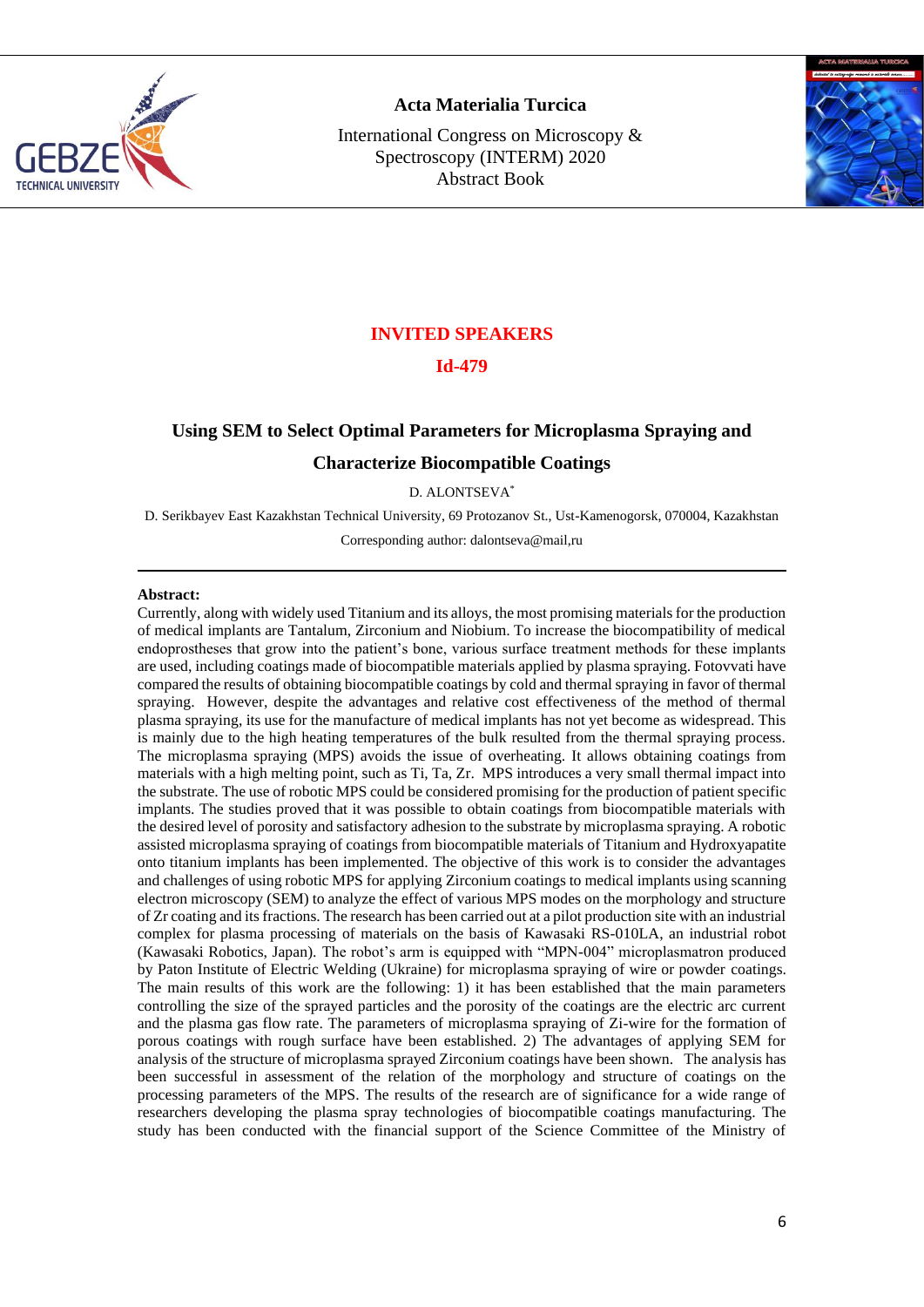

International Congress on Microscopy & Spectroscopy (INTERM) 2020 Abstract Book



#### **INVITED SPEAKERS**

#### **Id-479**

## **Using SEM to Select Optimal Parameters for Microplasma Spraying and Characterize Biocompatible Coatings**

D. ALONTSEVA\*

D. Serikbayev East Kazakhstan Technical University, 69 Protozanov St., Ust-Kamenogorsk, 070004, Kazakhstan

Corresponding author: dalontseva@mail,ru

#### **Abstract:**

Currently, along with widely used Titanium and its alloys, the most promising materials for the production of medical implants are Tantalum, Zirconium and Niobium. To increase the biocompatibility of medical endoprostheses that grow into the patient's bone, various surface treatment methods for these implants are used, including coatings made of biocompatible materials applied by plasma spraying. Fotovvati have compared the results of obtaining biocompatible coatings by cold and thermal spraying in favor of thermal spraying. However, despite the advantages and relative cost effectiveness of the method of thermal plasma spraying, its use for the manufacture of medical implants has not yet become as widespread. This is mainly due to the high heating temperatures of the bulk resulted from the thermal spraying process. The microplasma spraying (MPS) avoids the issue of overheating. It allows obtaining coatings from materials with a high melting point, such as Ti, Ta, Zr. MPS introduces a very small thermal impact into the substrate. The use of robotic MPS could be considered promising for the production of patient specific implants. The studies proved that it was possible to obtain coatings from biocompatible materials with the desired level of porosity and satisfactory adhesion to the substrate by microplasma spraying. A robotic assisted microplasma spraying of coatings from biocompatible materials of Titanium and Hydroxyapatite onto titanium implants has been implemented. The objective of this work is to consider the advantages and challenges of using robotic MPS for applying Zirconium coatings to medical implants using scanning electron microscopy (SEM) to analyze the effect of various MPS modes on the morphology and structure of Zr coating and its fractions. The research has been carried out at a pilot production site with an industrial complex for plasma processing of materials on the basis of Kawasaki RS-010LA, an industrial robot (Kawasaki Robotics, Japan). The robot's arm is equipped with "MPN-004" microplasmatron produced by Paton Institute of Electric Welding (Ukraine) for microplasma spraying of wire or powder coatings. The main results of this work are the following: 1) it has been established that the main parameters controlling the size of the sprayed particles and the porosity of the coatings are the electric arc current and the plasma gas flow rate. The parameters of microplasma spraying of Zi-wire for the formation of porous coatings with rough surface have been established. 2) The advantages of applying SEM for analysis of the structure of microplasma sprayed Zirconium coatings have been shown. The analysis has been successful in assessment of the relation of the morphology and structure of coatings on the processing parameters of the MPS. The results of the research are of significance for a wide range of researchers developing the plasma spray technologies of biocompatible coatings manufacturing. The study has been conducted with the financial support of the Science Committee of the Ministry of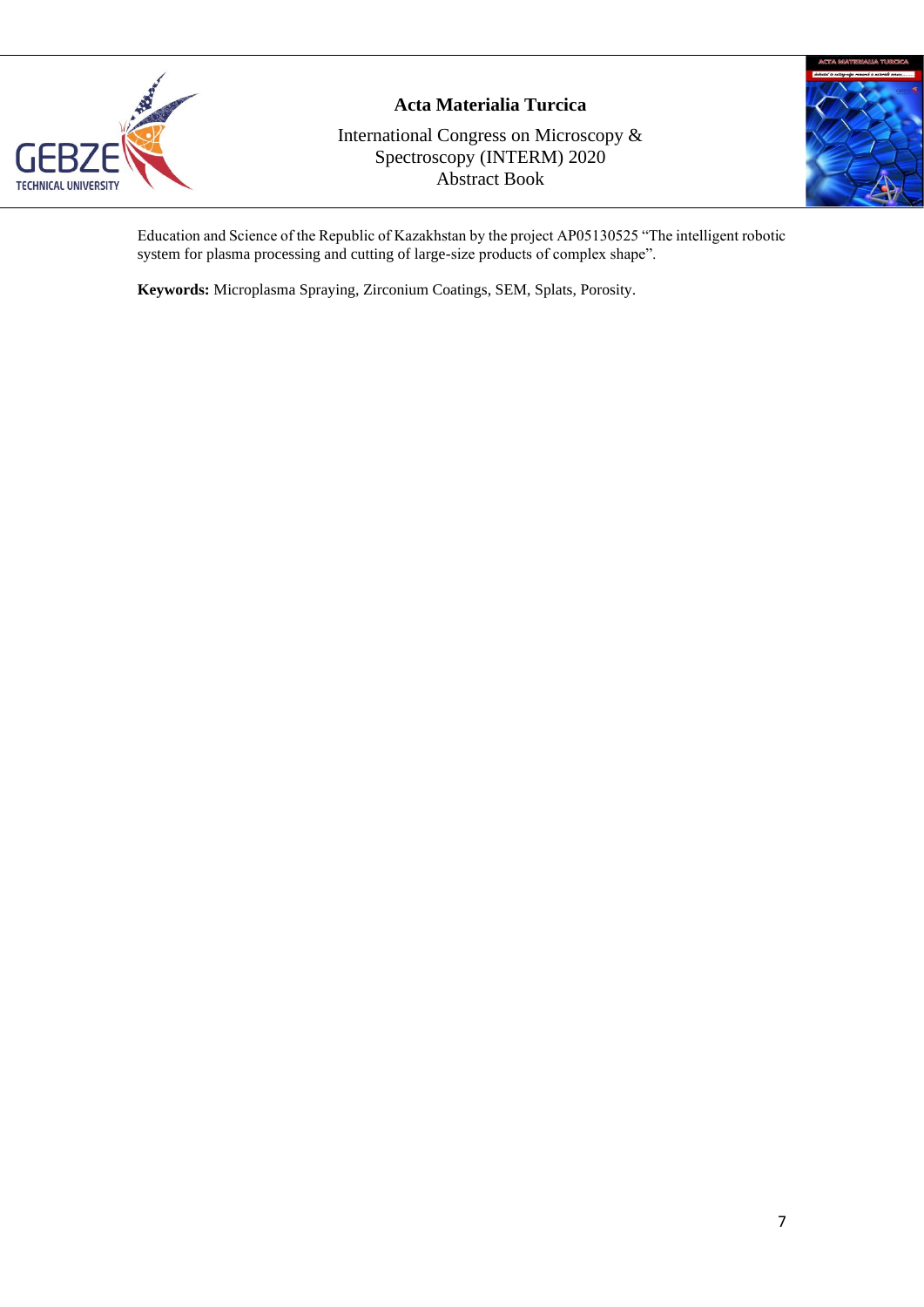

International Congress on Microscopy & Spectroscopy (INTERM) 2020 Abstract Book



Education and Science of the Republic of Kazakhstan by the project AP05130525 "The intelligent robotic system for plasma processing and cutting of large-size products of complex shape".

**Keywords:** Microplasma Spraying, Zirconium Coatings, SEM, Splats, Porosity.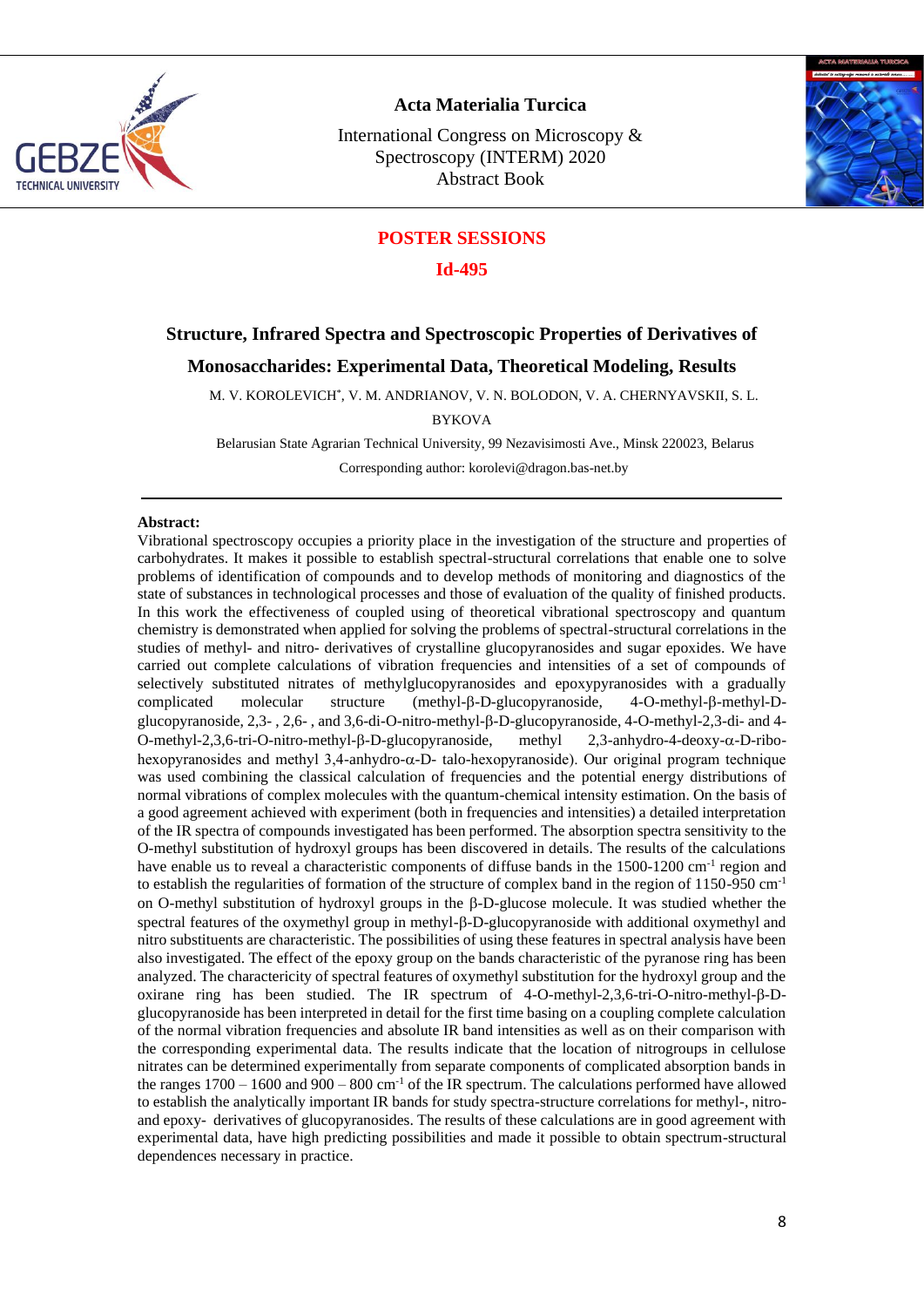

International Congress on Microscopy & Spectroscopy (INTERM) 2020 Abstract Book



#### **POSTER SESSIONS**

**Id-495**

## **Structure, Infrared Spectra and Spectroscopic Properties of Derivatives of**

#### **Monosaccharides: Experimental Data, Theoretical Modeling, Results**

M. V. KOROLEVICH\* , V. M. ANDRIANOV, V. N. BOLODON, V. A. CHERNYAVSKII, S. L.

BYKOVA

Belarusian State Agrarian Technical University, 99 Nezavisimosti Ave., Minsk 220023, Belarus

Corresponding author: korolevi@dragon.bas-net.by

#### **Abstract:**

Vibrational spectroscopy occupies a priority place in the investigation of the structure and properties of carbohydrates. It makes it possible to establish spectral-structural correlations that enable one to solve problems of identification of compounds and to develop methods of monitoring and diagnostics of the state of substances in technological processes and those of evaluation of the quality of finished products. In this work the effectiveness of coupled using of theoretical vibrational spectroscopy and quantum chemistry is demonstrated when applied for solving the problems of spectral-structural correlations in the studies of methyl- and nitro- derivatives of crystalline glucopyranosides and sugar epoxides. We have carried out complete calculations of vibration frequencies and intensities of a set of compounds of selectively substituted nitrates of methylglucopyranosides and epoxypyranosides with a gradually complicated molecular structure (methyl- $\beta$ -D-glucopyranoside, 4-O-methyl- $\beta$ -methyl-Dglucopyranoside, 2,3-, 2,6-, and 3,6-di-O-nitro-methyl-β-D-glucopyranoside, 4-O-methyl-2,3-di- and 4-O-methyl-2,3,6-tri-O-nitro-methyl- $\beta$ -D-glucopyranoside, methyl 2,3-anhydro-4-deoxy- $\alpha$ -D-ribohexopyranosides and methyl 3,4-anhydro- $\alpha$ -D- talo-hexopyranoside). Our original program technique was used combining the classical calculation of frequencies and the potential energy distributions of normal vibrations of complex molecules with the quantum-chemical intensity estimation. On the basis of a good agreement achieved with experiment (both in frequencies and intensities) a detailed interpretation of the IR spectra of compounds investigated has been performed. The absorption spectra sensitivity to the O-methyl substitution of hydroxyl groups has been discovered in details. The results of the calculations have enable us to reveal a characteristic components of diffuse bands in the 1500-1200 cm<sup>-1</sup> region and to establish the regularities of formation of the structure of complex band in the region of 1150-950 cm-1 on O-methyl substitution of hydroxyl groups in the  $\beta$ -D-glucose molecule. It was studied whether the spectral features of the oxymethyl group in methyl- $\beta$ -D-glucopyranoside with additional oxymethyl and nitro substituents are characteristic. The possibilities of using these features in spectral analysis have been also investigated. The effect of the epoxy group on the bands characteristic of the pyranose ring has been analyzed. The charactericity of spectral features of oxymethyl substitution for the hydroxyl group and the oxirane ring has been studied. The IR spectrum of  $4$ -O-methyl-2,3,6-tri-O-nitro-methyl- $\beta$ -Dglucopyranoside has been interpreted in detail for the first time basing on a coupling complete calculation of the normal vibration frequencies and absolute IR band intensities as well as on their comparison with the corresponding experimental data. The results indicate that the location of nitrogroups in cellulose nitrates can be determined experimentally from separate components of complicated absorption bands in the ranges  $1700 - 1600$  and  $900 - 800$  cm<sup>-1</sup> of the IR spectrum. The calculations performed have allowed to establish the analytically important IR bands for study spectra-structure correlations for methyl-, nitroand epoxy- derivatives of glucopyranosides. The results of these calculations are in good agreement with experimental data, have high predicting possibilities and made it possible to obtain spectrum-structural dependences necessary in practice.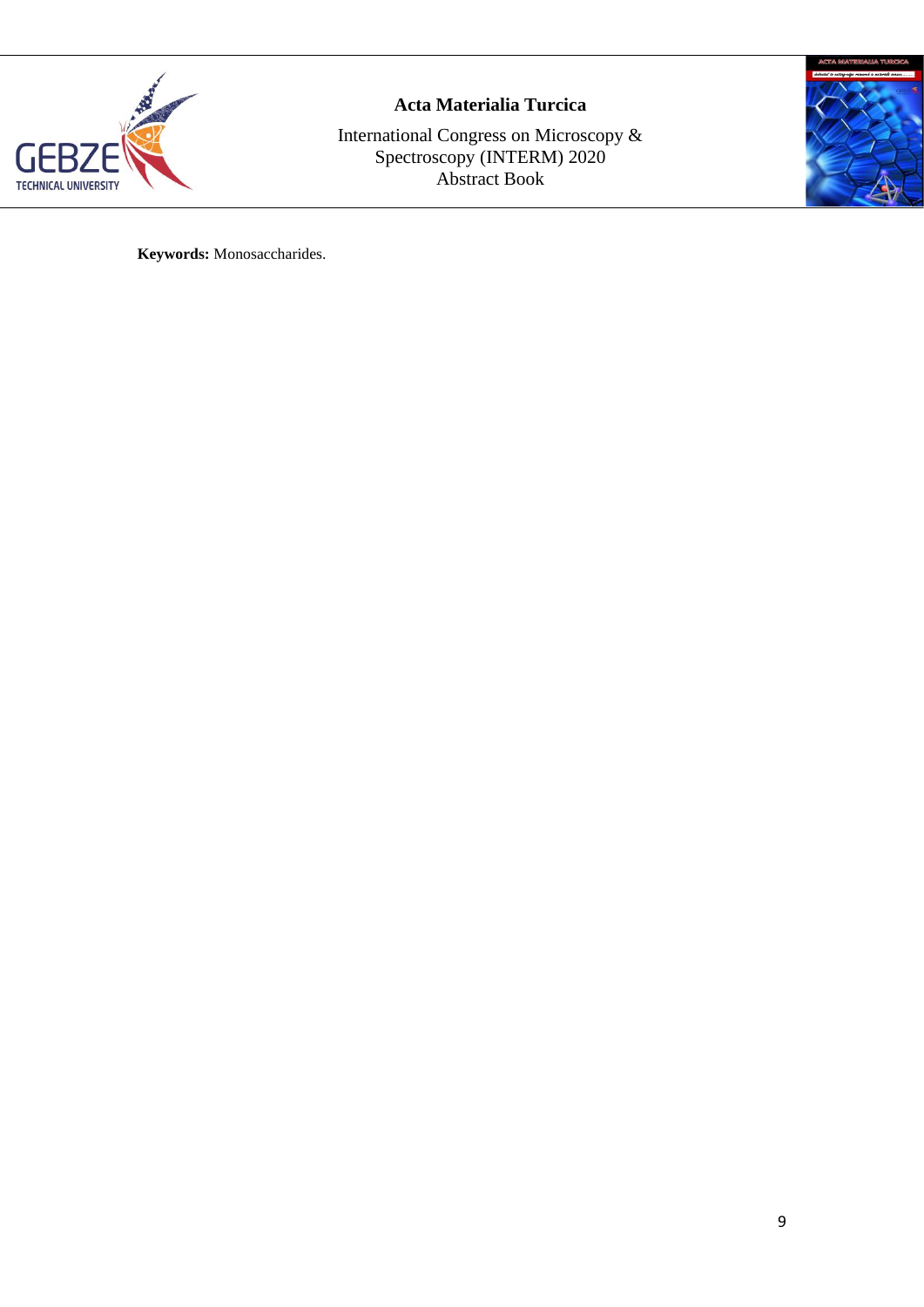

International Congress on Microscopy & Spectroscopy (INTERM) 2020 Abstract Book



**Keywords:** Monosaccharides.